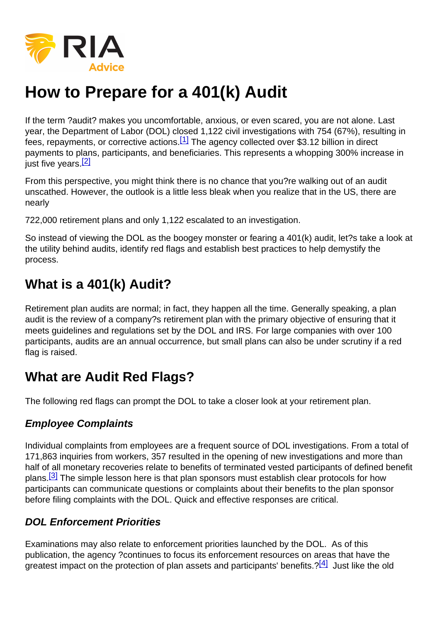# How to Prepare for a 401(k) Audit

If the term ?audit? makes you uncomfortable, anxious, or even scared, you are not alone. Last year, the Department of Labor (DOL) closed 1,122 civil investigations with 754 (67%), resulting in fees, repayments, or corrective actions.<sup>[1]</sup> The agency collected over \$3.12 billion in direct payments to plans, participants, and beneficiaries. This represents a whopping 300% increase in just five years.<sup>[2]</sup>

From this perspective, you might think there is no chance that you?re walking out of an audit unscathed. However, the outlook is a little less bleak when you realize that in the US, there are nearly

722,000 retirement plans and only 1,122 escalated to an investigation.

So instead of viewing the DOL as the boogey monster or fearing a 401(k) audit, let?s take a look at the utility behind audits, identify red flags and establish best practices to help demystify the process.

### What is a 401(k) Audit?

Retirement plan audits are normal; in fact, they happen all the time. Generally speaking, a plan audit is the review of a company?s retirement plan with the primary objective of ensuring that it meets guidelines and regulations set by the DOL and IRS. For large companies with over 100 participants, audits are an annual occurrence, but small plans can also be under scrutiny if a red flag is raised.

### What are Audit Red Flags?

The following red flags can prompt the DOL to take a closer look at your retirement plan.

#### Employee Complaints

Individual complaints from employees are a frequent source of DOL investigations. From a total of 171,863 inquiries from workers, 357 resulted in the opening of new investigations and more than half of all monetary recoveries relate to benefits of terminated vested participants of defined benefit plans.<sup>[3]</sup> The simple lesson here is that plan sponsors must establish clear protocols for how participants can communicate questions or complaints about their benefits to the plan sponsor before filing complaints with the DOL. Quick and effective responses are critical.

#### DOL Enforcement Priorities

Examinations may also relate to enforcement priorities launched by the DOL. As of this publication, the agency ?continues to focus its enforcement resources on areas that have the greatest impact on the protection of plan assets and participants' benefits.? $[4]$  Just like the old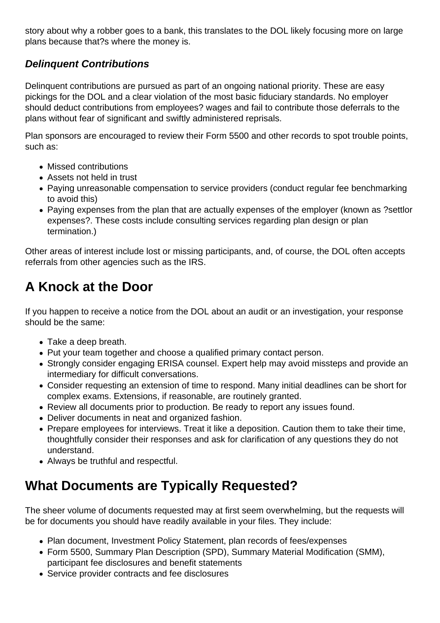story about why a robber goes to a bank, this translates to the DOL likely focusing more on large plans because that?s where the money is.

#### **Delinquent Contributions**

Delinquent contributions are pursued as part of an ongoing national priority. These are easy pickings for the DOL and a clear violation of the most basic fiduciary standards. No employer should deduct contributions from employees? wages and fail to contribute those deferrals to the plans without fear of significant and swiftly administered reprisals.

Plan sponsors are encouraged to review their Form 5500 and other records to spot trouble points, such as:

- Missed contributions
- Assets not held in trust
- Paying unreasonable compensation to service providers (conduct regular fee benchmarking to avoid this)
- Paying expenses from the plan that are actually expenses of the employer (known as ?settlor expenses?. These costs include consulting services regarding plan design or plan termination.)

Other areas of interest include lost or missing participants, and, of course, the DOL often accepts referrals from other agencies such as the IRS.

# **A Knock at the Door**

If you happen to receive a notice from the DOL about an audit or an investigation, your response should be the same:

- Take a deep breath.
- Put your team together and choose a qualified primary contact person.
- Strongly consider engaging ERISA counsel. Expert help may avoid missteps and provide an intermediary for difficult conversations.
- Consider requesting an extension of time to respond. Many initial deadlines can be short for complex exams. Extensions, if reasonable, are routinely granted.
- Review all documents prior to production. Be ready to report any issues found.
- Deliver documents in neat and organized fashion.
- Prepare employees for interviews. Treat it like a deposition. Caution them to take their time, thoughtfully consider their responses and ask for clarification of any questions they do not understand.
- Always be truthful and respectful.

### **What Documents are Typically Requested?**

The sheer volume of documents requested may at first seem overwhelming, but the requests will be for documents you should have readily available in your files. They include:

- Plan document, Investment Policy Statement, plan records of fees/expenses
- Form 5500, Summary Plan Description (SPD), Summary Material Modification (SMM), participant fee disclosures and benefit statements
- Service provider contracts and fee disclosures